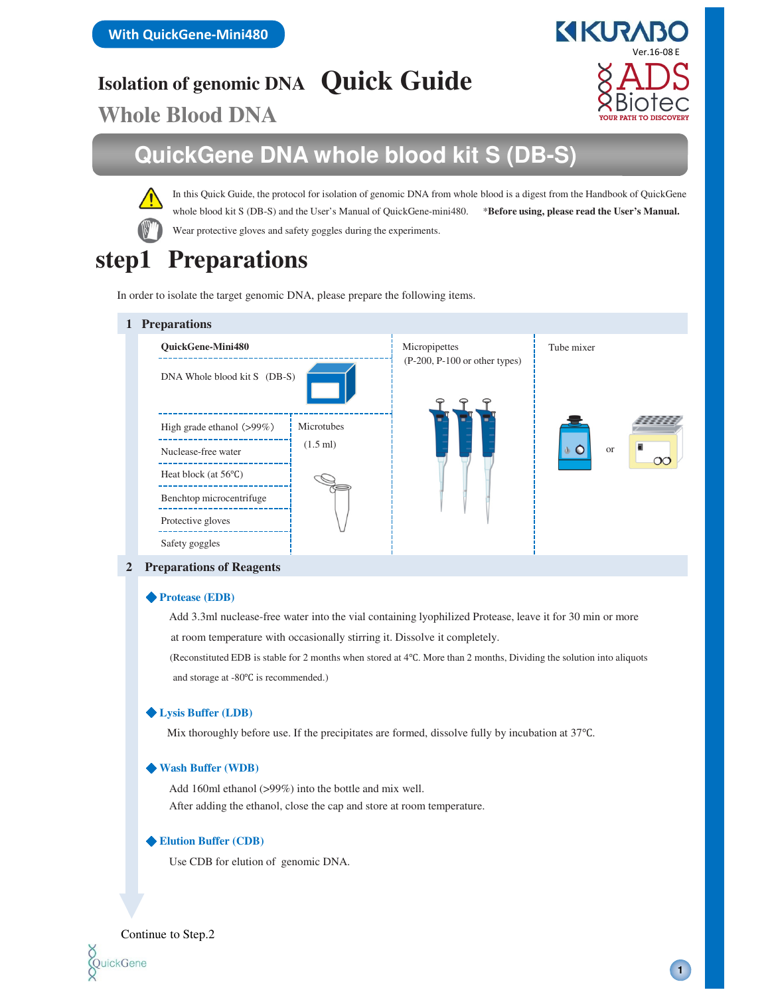**Isolation of genomic DNA Quick Guide**

**Whole Blood DNA**

## **QuickGene DNA whole blood kit S (DB-S)**

Wear protective gloves and safety goggles during the experiments. In this Quick Guide, the protocol for isolation of genomic DNA from whole blood is a digest from the Handbook of QuickGene whole blood kit S (DB-S) and the User's Manual of QuickGene-mini480. \*\***Before using, please read the User's Manual.** 

# **step1 Preparations**

In order to isolate the target genomic DNA, please prepare the following items.

## **1 Preparations** DNA Whole blood kit S (DB-S) **QuickGene-Mini480** High grade ethanol (>99%) Nuclease-free water Heat block (at 56℃) Protective gloves Benchtop microcentrifuge Safety goggles Microtubes (1.5 ml) Micropipettes Tube mixer or (P-200, P-100 or other types)

#### **2 Preparations of Reagents**

#### ◆ **Protease (EDB)**

Add 3.3ml nuclease-free water into the vial containing lyophilized Protease, leave it for 30 min or more at room temperature with occasionally stirring it. Dissolve it completely.

(Reconstituted EDB is stable for 2 months when stored at 4℃. More than 2 months, Dividing the solution into aliquots and storage at -80℃ is recommended.)

### ◆ **Lysis Buffer (LDB)**

Mix thoroughly before use. If the precipitates are formed, dissolve fully by incubation at 37℃.

#### ◆ **Wash Buffer (WDB)**

Add 160ml ethanol (>99%) into the bottle and mix well. After adding the ethanol, close the cap and store at room temperature.

#### ◆ **Elution Buffer (CDB)**

Use CDB for elution of genomic DNA.



**1**

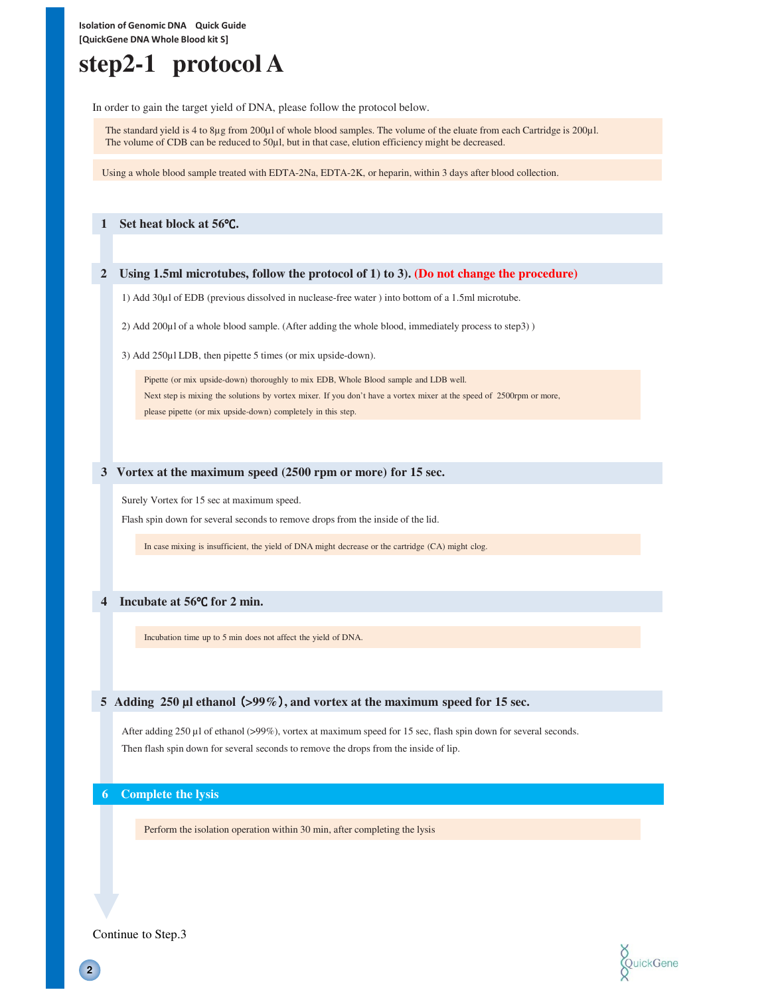**Isolation of Genomic DNA Quick Guide [QuickGene DNA Whole Blood kit S]**

# **step2-1 protocol A**

In order to gain the target yield of DNA, please follow the protocol below.

The standard yield is 4 to 8µg from 200µl of whole blood samples. The volume of the eluate from each Cartridge is 200µl. The volume of CDB can be reduced to 50µl, but in that case, elution efficiency might be decreased.

Using a whole blood sample treated with EDTA-2Na, EDTA-2K, or heparin, within 3 days after blood collection.

#### **1 Set heat block at 56**℃**.**

#### **2 Using 1.5ml microtubes, follow the protocol of 1) to 3). (Do not change the procedure)**

1) Add 30µl of EDB (previous dissolved in nuclease-free water ) into bottom of a 1.5ml microtube.

2) Add 200µl of a whole blood sample. (After adding the whole blood, immediately process to step3) )

3) Add 250µl LDB, then pipette 5 times (or mix upside-down).

Pipette (or mix upside-down) thoroughly to mix EDB, Whole Blood sample and LDB well. Next step is mixing the solutions by vortex mixer. If you don't have a vortex mixer at the speed of 2500rpm or more, please pipette (or mix upside-down) completely in this step.

#### **3 Vortex at the maximum speed (2500 rpm or more) for 15 sec.**

Surely Vortex for 15 sec at maximum speed.

Flash spin down for several seconds to remove drops from the inside of the lid.

In case mixing is insufficient, the yield of DNA might decrease or the cartridge (CA) might clog.

#### **4 Incubate at 56**℃ **for 2 min.**

Incubation time up to 5 min does not affect the yield of DNA.

#### **5 Adding 250 µl ethanol** (**>99%**)**, and vortex at the maximum speed for 15 sec.**

After adding 250 µl of ethanol (>99%), vortex at maximum speed for 15 sec, flash spin down for several seconds. Then flash spin down for several seconds to remove the drops from the inside of lip.

**6 Complete the lysis**

Perform the isolation operation within 30 min, after completing the lysis



Continue to Step.3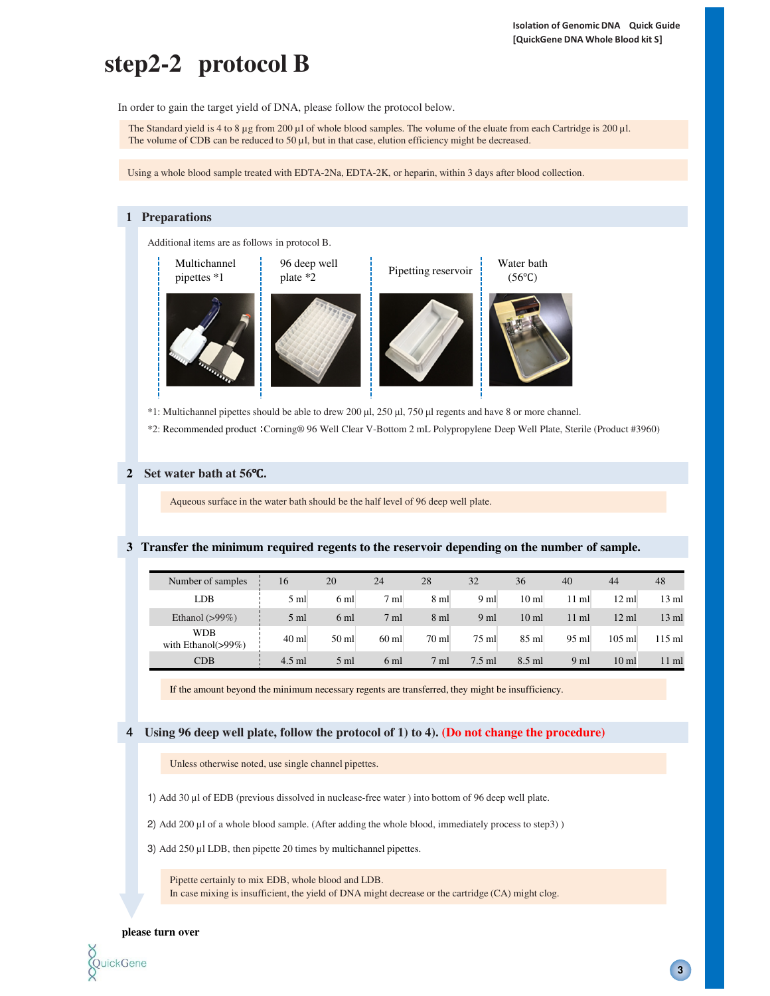# **step2-2 protocol B**

In order to gain the target yield of DNA, please follow the protocol below.

The Standard yield is 4 to 8  $\mu$ g from 200  $\mu$ l of whole blood samples. The volume of the eluate from each Cartridge is 200  $\mu$ l. The volume of CDB can be reduced to 50  $\mu$ l, but in that case, elution efficiency might be decreased.

Using a whole blood sample treated with EDTA-2Na, EDTA-2K, or heparin, within 3 days after blood collection.



\*1: Multichannel pipettes should be able to drew 200 µl, 250 µl, 750 µl regents and have 8 or more channel.

\*2: Recommended product :Corning® 96 Well Clear V-Bottom 2 mL Polypropylene Deep Well Plate, Sterile (Product #3960)

#### **2 Set water bath at 56**℃**.**

Aqueous surface in the water bath should be the half level of 96 deep well plate.

#### **3 Transfer the minimum required regents to the reservoir depending on the number of sample.**

| Number of samples                     | 16             | 20              | 24              | 28              | 32              | 36               | 40              | 44               | 48               |
|---------------------------------------|----------------|-----------------|-----------------|-----------------|-----------------|------------------|-----------------|------------------|------------------|
| LDB                                   | $5 \text{ ml}$ | 6 <sub>ml</sub> | $7 \text{ ml}$  | $8 \text{ ml}$  | 9 <sub>ml</sub> | 10 <sub>ml</sub> | $11 \text{ ml}$ | $12 \text{ ml}$  | $13 \text{ ml}$  |
| Ethanol $(>99\%)$                     | $5 \text{ ml}$ | 6 <sub>ml</sub> | 7 <sub>ml</sub> | $8 \text{ ml}$  | 9 <sub>ml</sub> | 10 <sub>ml</sub> | $11 \text{ ml}$ | $12 \text{ ml}$  | $13 \text{ ml}$  |
| <b>WDB</b><br>with Ethanol( $>99\%$ ) | $40$ ml        | $50 \text{ ml}$ | $60$ ml         | $70 \text{ ml}$ | $75 \text{ ml}$ | $85$ ml          | $95$ ml         | $105$ ml         | $115 \text{ ml}$ |
| CDB                                   | $4.5$ ml       | $5 \text{ ml}$  | 6 ml            | $7 \text{ ml}$  | $7.5$ ml        | 8.5 ml           | 9 <sub>ml</sub> | 10 <sub>ml</sub> | $11 \text{ ml}$  |

If the amount beyond the minimum necessary regents are transferred, they might be insufficiency.

4 **Using 96 deep well plate, follow the protocol of 1) to 4). (Do not change the procedure)**

Unless otherwise noted, use single channel pipettes.

1) Add 30 µl of EDB (previous dissolved in nuclease-free water ) into bottom of 96 deep well plate.

2) Add 200 µl of a whole blood sample. (After adding the whole blood, immediately process to step3))

3) Add 250 µl LDB, then pipette 20 times by multichannel pipettes.

Pipette certainly to mix EDB, whole blood and LDB. In case mixing is insufficient, the yield of DNA might decrease or the cartridge (CA) might clog.

#### **please turn over**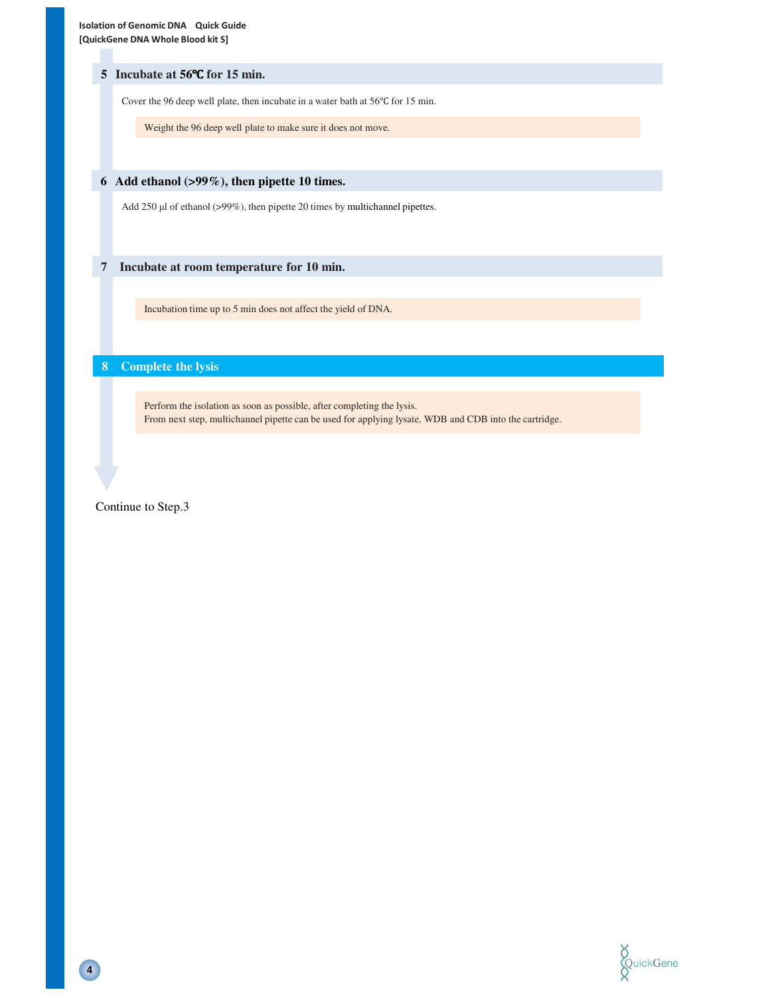#### **5 Incubate at 56**℃ **for 15 min.**

Cover the 96 deep well plate, then incubate in a water bath at 56℃ for 15 min.

Weight the 96 deep well plate to make sure it does not move.

### **6 Add ethanol (>99%), then pipette 10 times.**

Add 250 µl of ethanol (>99%), then pipette 20 times by multichannel pipettes.

#### **7 Incubate at room temperature for 10 min.**

Incubation time up to 5 min does not affect the yield of DNA.

## **8 Complete the lysis**

Perform the isolation as soon as possible, after completing the lysis. From next step, multichannel pipette can be used for applying lysate, WDB and CDB into the cartridge.

Continue to Step.3